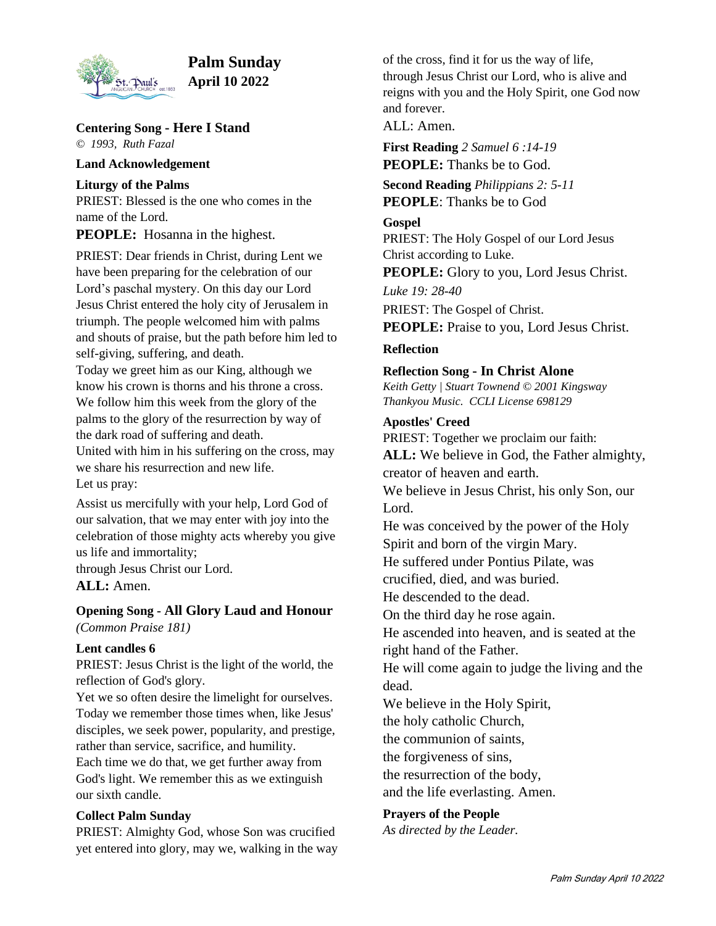

# **Palm Sunday April 10 2022**

**Centering Song - Here I Stand** *© 1993, Ruth Fazal*

**Land Acknowledgement**

**Liturgy of the Palms**

PRIEST: Blessed is the one who comes in the name of the Lord.

**PEOPLE:** Hosanna in the highest.

PRIEST: Dear friends in Christ, during Lent we have been preparing for the celebration of our Lord's paschal mystery. On this day our Lord Jesus Christ entered the holy city of Jerusalem in triumph. The people welcomed him with palms and shouts of praise, but the path before him led to self-giving, suffering, and death.

Today we greet him as our King, although we know his crown is thorns and his throne a cross. We follow him this week from the glory of the palms to the glory of the resurrection by way of the dark road of suffering and death.

United with him in his suffering on the cross, may we share his resurrection and new life.

Let us pray:

Assist us mercifully with your help, Lord God of our salvation, that we may enter with joy into the celebration of those mighty acts whereby you give us life and immortality;

through Jesus Christ our Lord.

**ALL:** Amen.

**Opening Song - All Glory Laud and Honour** *(Common Praise 181)*

## **Lent candles 6**

PRIEST: Jesus Christ is the light of the world, the reflection of God's glory.

Yet we so often desire the limelight for ourselves. Today we remember those times when, like Jesus' disciples, we seek power, popularity, and prestige, rather than service, sacrifice, and humility. Each time we do that, we get further away from

God's light. We remember this as we extinguish our sixth candle.

## **Collect Palm Sunday**

PRIEST: Almighty God, whose Son was crucified yet entered into glory, may we, walking in the way

of the cross, find it for us the way of life, through Jesus Christ our Lord, who is alive and reigns with you and the Holy Spirit, one God now and forever.

ALL: Amen.

**First Reading** *2 Samuel 6 :14-19* **PEOPLE:** Thanks be to God.

**Second Reading** *Philippians 2: 5-11* **PEOPLE**: Thanks be to God

## **Gospel**

PRIEST: The Holy Gospel of our Lord Jesus Christ according to Luke.

**PEOPLE:** Glory to you, Lord Jesus Christ.

*Luke 19: 28-40*

PRIEST: The Gospel of Christ.

**PEOPLE:** Praise to you, Lord Jesus Christ.

## **Reflection**

## **Reflection Song - In Christ Alone**

*Keith Getty | Stuart Townend © 2001 Kingsway Thankyou Music. CCLI License 698129*

## **Apostles' Creed**

PRIEST: Together we proclaim our faith: **ALL:** We believe in God, the Father almighty, creator of heaven and earth.

We believe in Jesus Christ, his only Son, our Lord.

He was conceived by the power of the Holy Spirit and born of the virgin Mary.

He suffered under Pontius Pilate, was

crucified, died, and was buried.

He descended to the dead.

On the third day he rose again.

He ascended into heaven, and is seated at the right hand of the Father.

He will come again to judge the living and the dead.

We believe in the Holy Spirit,

the holy catholic Church,

the communion of saints,

the forgiveness of sins,

the resurrection of the body,

and the life everlasting. Amen.

## **Prayers of the People**

*As directed by the Leader.*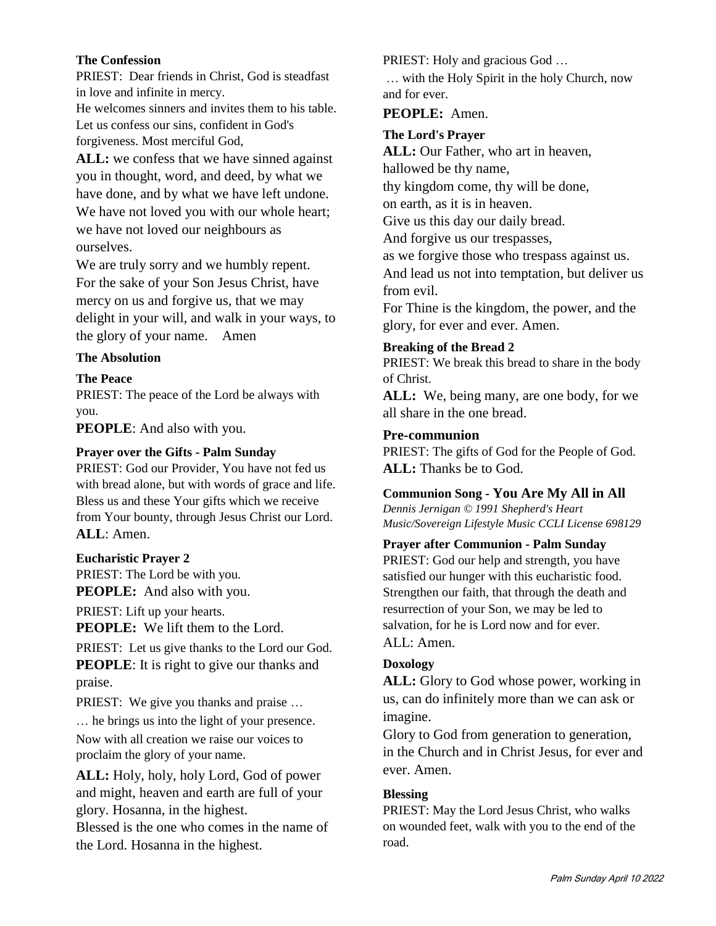#### **The Confession**

PRIEST: Dear friends in Christ, God is steadfast in love and infinite in mercy.

He welcomes sinners and invites them to his table. Let us confess our sins, confident in God's forgiveness. Most merciful God,

ALL: we confess that we have sinned against you in thought, word, and deed, by what we have done, and by what we have left undone. We have not loved you with our whole heart; we have not loved our neighbours as ourselves.

We are truly sorry and we humbly repent. For the sake of your Son Jesus Christ, have mercy on us and forgive us, that we may delight in your will, and walk in your ways, to the glory of your name. Amen

## **The Absolution**

**The Peace**

PRIEST: The peace of the Lord be always with you.

**PEOPLE**: And also with you.

## **Prayer over the Gifts - Palm Sunday**

PRIEST: God our Provider, You have not fed us with bread alone, but with words of grace and life. Bless us and these Your gifts which we receive from Your bounty, through Jesus Christ our Lord. **ALL**: Amen.

#### **Eucharistic Prayer 2**

PRIEST: The Lord be with you. **PEOPLE:** And also with you.

PRIEST: Lift up your hearts.

**PEOPLE:** We lift them to the Lord.

PRIEST: Let us give thanks to the Lord our God. **PEOPLE**: It is right to give our thanks and praise.

PRIEST: We give you thanks and praise ...

… he brings us into the light of your presence. Now with all creation we raise our voices to proclaim the glory of your name.

**ALL:** Holy, holy, holy Lord, God of power and might, heaven and earth are full of your glory. Hosanna, in the highest.

Blessed is the one who comes in the name of the Lord. Hosanna in the highest.

PRIEST: Holy and gracious God …

… with the Holy Spirit in the holy Church, now and for ever.

## **PEOPLE:** Amen.

## **The Lord's Prayer**

**ALL:** Our Father, who art in heaven,

hallowed be thy name,

thy kingdom come, thy will be done,

on earth, as it is in heaven.

Give us this day our daily bread.

And forgive us our trespasses,

as we forgive those who trespass against us. And lead us not into temptation, but deliver us

from evil.

For Thine is the kingdom, the power, and the glory, for ever and ever. Amen.

## **Breaking of the Bread 2**

PRIEST: We break this bread to share in the body of Christ.

ALL: We, being many, are one body, for we all share in the one bread.

## **Pre-communion**

PRIEST: The gifts of God for the People of God. **ALL:** Thanks be to God.

## **Communion Song - You Are My All in All**

*Dennis Jernigan © 1991 Shepherd's Heart Music/Sovereign Lifestyle Music CCLI License 698129*

## **Prayer after Communion - Palm Sunday**

PRIEST: God our help and strength, you have satisfied our hunger with this eucharistic food. Strengthen our faith, that through the death and resurrection of your Son, we may be led to salvation, for he is Lord now and for ever. ALL: Amen.

## **Doxology**

**ALL:** Glory to God whose power, working in us, can do infinitely more than we can ask or imagine.

Glory to God from generation to generation, in the Church and in Christ Jesus, for ever and ever. Amen.

## **Blessing**

PRIEST: May the Lord Jesus Christ, who walks on wounded feet, walk with you to the end of the road.